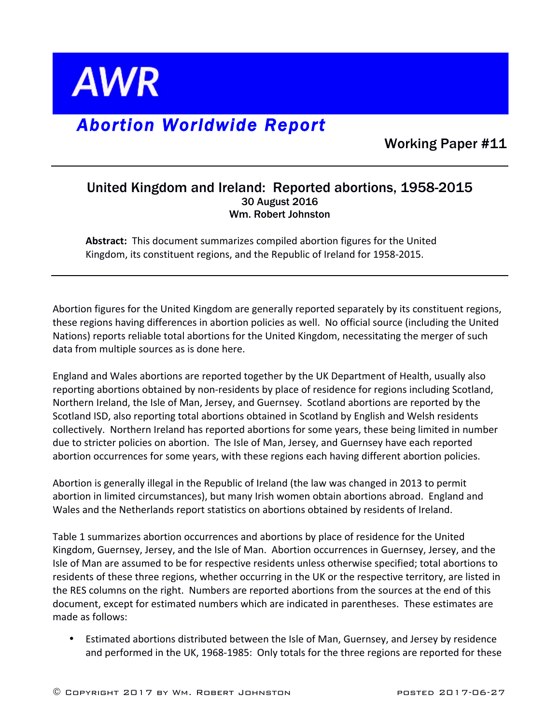

## *Abortion Worldwide Report*

Working Paper #11

## United Kingdom and Ireland: Reported abortions, 1958-2015 30 August 2016 Wm. Robert Johnston

Abstract: This document summarizes compiled abortion figures for the United Kingdom, its constituent regions, and the Republic of Ireland for 1958-2015.

Abortion figures for the United Kingdom are generally reported separately by its constituent regions, these regions having differences in abortion policies as well. No official source (including the United Nations) reports reliable total abortions for the United Kingdom, necessitating the merger of such data from multiple sources as is done here.

England and Wales abortions are reported together by the UK Department of Health, usually also reporting abortions obtained by non-residents by place of residence for regions including Scotland, Northern Ireland, the Isle of Man, Jersey, and Guernsey. Scotland abortions are reported by the Scotland ISD, also reporting total abortions obtained in Scotland by English and Welsh residents collectively. Northern Ireland has reported abortions for some years, these being limited in number due to stricter policies on abortion. The Isle of Man, Jersey, and Guernsey have each reported abortion occurrences for some years, with these regions each having different abortion policies.

Abortion is generally illegal in the Republic of Ireland (the law was changed in 2013 to permit abortion in limited circumstances), but many Irish women obtain abortions abroad. England and Wales and the Netherlands report statistics on abortions obtained by residents of Ireland.

Table 1 summarizes abortion occurrences and abortions by place of residence for the United Kingdom, Guernsey, Jersey, and the Isle of Man. Abortion occurrences in Guernsey, Jersey, and the Isle of Man are assumed to be for respective residents unless otherwise specified; total abortions to residents of these three regions, whether occurring in the UK or the respective territory, are listed in the RES columns on the right. Numbers are reported abortions from the sources at the end of this document, except for estimated numbers which are indicated in parentheses. These estimates are made as follows:

• Estimated abortions distributed between the Isle of Man, Guernsey, and Jersey by residence and performed in the UK, 1968-1985: Only totals for the three regions are reported for these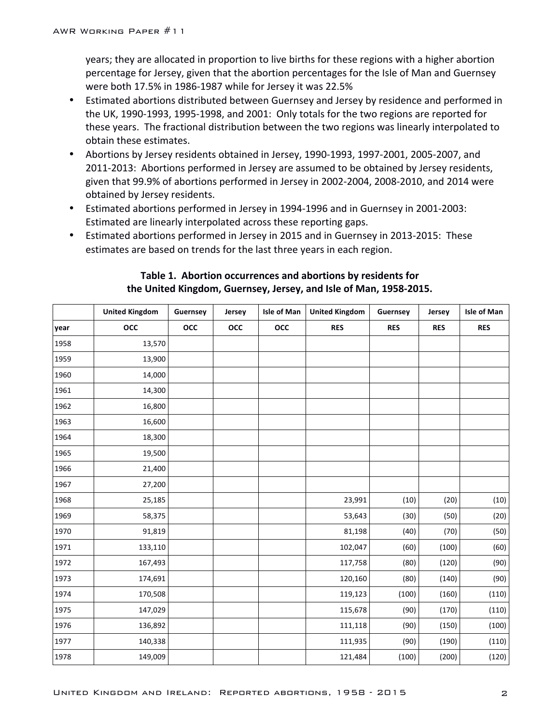years; they are allocated in proportion to live births for these regions with a higher abortion percentage for Jersey, given that the abortion percentages for the Isle of Man and Guernsey were both 17.5% in 1986-1987 while for Jersey it was 22.5%

- Estimated abortions distributed between Guernsey and Jersey by residence and performed in the UK, 1990-1993, 1995-1998, and 2001: Only totals for the two regions are reported for these years. The fractional distribution between the two regions was linearly interpolated to obtain these estimates.
- Abortions by Jersey residents obtained in Jersey, 1990-1993, 1997-2001, 2005-2007, and 2011-2013: Abortions performed in Jersey are assumed to be obtained by Jersey residents, given that 99.9% of abortions performed in Jersey in 2002-2004, 2008-2010, and 2014 were obtained by Jersey residents.
- Estimated abortions performed in Jersey in 1994-1996 and in Guernsey in 2001-2003: Estimated are linearly interpolated across these reporting gaps.
- Estimated abortions performed in Jersey in 2015 and in Guernsey in 2013-2015: These estimates are based on trends for the last three years in each region.

|      | <b>United Kingdom</b> | Guernsey | Jersey     | <b>Isle of Man</b> | <b>United Kingdom</b> | Guernsey   | Jersey     | Isle of Man |
|------|-----------------------|----------|------------|--------------------|-----------------------|------------|------------|-------------|
| year | occ                   | occ      | <b>OCC</b> | occ                | <b>RES</b>            | <b>RES</b> | <b>RES</b> | <b>RES</b>  |
| 1958 | 13,570                |          |            |                    |                       |            |            |             |
| 1959 | 13,900                |          |            |                    |                       |            |            |             |
| 1960 | 14,000                |          |            |                    |                       |            |            |             |
| 1961 | 14,300                |          |            |                    |                       |            |            |             |
| 1962 | 16,800                |          |            |                    |                       |            |            |             |
| 1963 | 16,600                |          |            |                    |                       |            |            |             |
| 1964 | 18,300                |          |            |                    |                       |            |            |             |
| 1965 | 19,500                |          |            |                    |                       |            |            |             |
| 1966 | 21,400                |          |            |                    |                       |            |            |             |
| 1967 | 27,200                |          |            |                    |                       |            |            |             |
| 1968 | 25,185                |          |            |                    | 23,991                | (10)       | (20)       | (10)        |
| 1969 | 58,375                |          |            |                    | 53,643                | (30)       | (50)       | (20)        |
| 1970 | 91,819                |          |            |                    | 81,198                | (40)       | (70)       | (50)        |
| 1971 | 133,110               |          |            |                    | 102,047               | (60)       | (100)      | (60)        |
| 1972 | 167,493               |          |            |                    | 117,758               | (80)       | (120)      | (90)        |
| 1973 | 174,691               |          |            |                    | 120,160               | (80)       | (140)      | (90)        |
| 1974 | 170,508               |          |            |                    | 119,123               | (100)      | (160)      | (110)       |
| 1975 | 147,029               |          |            |                    | 115,678               | (90)       | (170)      | (110)       |
| 1976 | 136,892               |          |            |                    | 111,118               | (90)       | (150)      | (100)       |
| 1977 | 140,338               |          |            |                    | 111,935               | (90)       | (190)      | (110)       |
| 1978 | 149,009               |          |            |                    | 121,484               | (100)      | (200)      | (120)       |

## Table 1. Abortion occurrences and abortions by residents for the United Kingdom, Guernsey, Jersey, and Isle of Man, 1958-2015.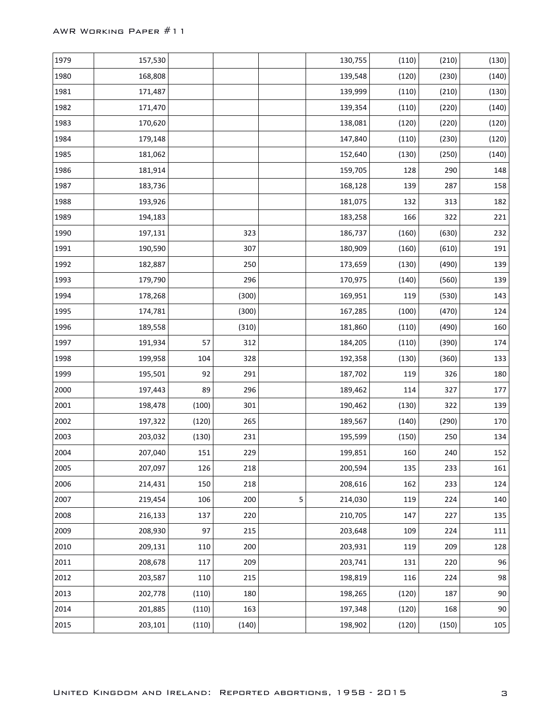| 1979 | 157,530 |       |       |   | 130,755 | (110) | (210) | (130)   |
|------|---------|-------|-------|---|---------|-------|-------|---------|
| 1980 | 168,808 |       |       |   | 139,548 | (120) | (230) | (140)   |
| 1981 | 171,487 |       |       |   | 139,999 | (110) | (210) | (130)   |
| 1982 | 171,470 |       |       |   | 139,354 | (110) | (220) | (140)   |
| 1983 | 170,620 |       |       |   | 138,081 | (120) | (220) | (120)   |
| 1984 | 179,148 |       |       |   | 147,840 | (110) | (230) | (120)   |
| 1985 | 181,062 |       |       |   | 152,640 | (130) | (250) | (140)   |
| 1986 | 181,914 |       |       |   | 159,705 | 128   | 290   | 148     |
| 1987 | 183,736 |       |       |   | 168,128 | 139   | 287   | 158     |
| 1988 | 193,926 |       |       |   | 181,075 | 132   | 313   | 182     |
| 1989 | 194,183 |       |       |   | 183,258 | 166   | 322   | 221     |
| 1990 | 197,131 |       | 323   |   | 186,737 | (160) | (630) | 232     |
| 1991 | 190,590 |       | 307   |   | 180,909 | (160) | (610) | 191     |
| 1992 | 182,887 |       | 250   |   | 173,659 | (130) | (490) | 139     |
| 1993 | 179,790 |       | 296   |   | 170,975 | (140) | (560) | 139     |
| 1994 | 178,268 |       | (300) |   | 169,951 | 119   | (530) | 143     |
| 1995 | 174,781 |       | (300) |   | 167,285 | (100) | (470) | 124     |
| 1996 | 189,558 |       | (310) |   | 181,860 | (110) | (490) | 160     |
| 1997 | 191,934 | 57    | 312   |   | 184,205 | (110) | (390) | 174     |
| 1998 | 199,958 | 104   | 328   |   | 192,358 | (130) | (360) | 133     |
| 1999 | 195,501 | 92    | 291   |   | 187,702 | 119   | 326   | 180     |
| 2000 | 197,443 | 89    | 296   |   | 189,462 | 114   | 327   | 177     |
| 2001 | 198,478 | (100) | 301   |   | 190,462 | (130) | 322   | 139     |
| 2002 | 197,322 | (120) | 265   |   | 189,567 | (140) | (290) | 170     |
| 2003 | 203,032 | (130) | 231   |   | 195,599 | (150) | 250   | 134     |
| 2004 | 207,040 | 151   | 229   |   | 199,851 | 160   | 240   | 152     |
| 2005 | 207,097 | 126   | 218   |   | 200,594 | 135   | 233   | 161     |
| 2006 | 214,431 | 150   | 218   |   | 208,616 | 162   | 233   | 124     |
| 2007 | 219,454 | 106   | 200   | 5 | 214,030 | 119   | 224   | 140     |
| 2008 | 216,133 | 137   | 220   |   | 210,705 | 147   | 227   | 135     |
| 2009 | 208,930 | 97    | 215   |   | 203,648 | 109   | 224   | $111\,$ |
| 2010 | 209,131 | 110   | 200   |   | 203,931 | 119   | 209   | 128     |
| 2011 | 208,678 | 117   | 209   |   | 203,741 | 131   | 220   | 96      |
| 2012 | 203,587 | 110   | 215   |   | 198,819 | 116   | 224   | 98      |
| 2013 | 202,778 | (110) | 180   |   | 198,265 | (120) | 187   | 90      |
| 2014 | 201,885 | (110) | 163   |   | 197,348 | (120) | 168   | $90\,$  |
| 2015 | 203,101 | (110) | (140) |   | 198,902 | (120) | (150) | $105\,$ |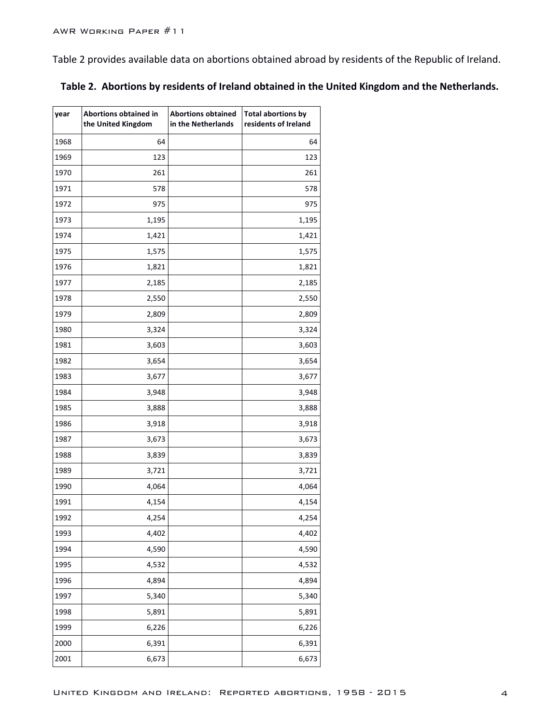$\Gamma$ 

Table 2 provides available data on abortions obtained abroad by residents of the Republic of Ireland.

| year | Abortions obtained in<br>the United Kingdom | <b>Abortions obtained</b><br>in the Netherlands | <b>Total abortions by</b><br>residents of Ireland |
|------|---------------------------------------------|-------------------------------------------------|---------------------------------------------------|
| 1968 | 64                                          |                                                 | 64                                                |
| 1969 | 123                                         |                                                 | 123                                               |
| 1970 | 261                                         |                                                 | 261                                               |
| 1971 | 578                                         |                                                 | 578                                               |
| 1972 | 975                                         |                                                 | 975                                               |
| 1973 | 1,195                                       |                                                 | 1,195                                             |
| 1974 | 1,421                                       |                                                 | 1,421                                             |
| 1975 | 1,575                                       |                                                 | 1,575                                             |
| 1976 | 1,821                                       |                                                 | 1,821                                             |
| 1977 | 2,185                                       |                                                 | 2,185                                             |
| 1978 | 2,550                                       |                                                 | 2,550                                             |
| 1979 | 2,809                                       |                                                 | 2,809                                             |
| 1980 | 3,324                                       |                                                 | 3,324                                             |
| 1981 | 3,603                                       |                                                 | 3,603                                             |
| 1982 | 3,654                                       |                                                 | 3,654                                             |
| 1983 | 3,677                                       |                                                 | 3,677                                             |
| 1984 | 3,948                                       |                                                 | 3,948                                             |
| 1985 | 3,888                                       |                                                 | 3,888                                             |
| 1986 | 3,918                                       |                                                 | 3,918                                             |
| 1987 | 3,673                                       |                                                 | 3,673                                             |
| 1988 | 3,839                                       |                                                 | 3,839                                             |
| 1989 | 3,721                                       |                                                 | 3,721                                             |
| 1990 | 4,064                                       |                                                 | 4,064                                             |
| 1991 | 4,154                                       |                                                 | 4,154                                             |
| 1992 | 4,254                                       |                                                 | 4,254                                             |
| 1993 | 4,402                                       |                                                 | 4,402                                             |
| 1994 | 4,590                                       |                                                 | 4,590                                             |
| 1995 | 4,532                                       |                                                 | 4,532                                             |
| 1996 | 4,894                                       |                                                 | 4,894                                             |
| 1997 | 5,340                                       |                                                 | 5,340                                             |
| 1998 | 5,891                                       |                                                 | 5,891                                             |
| 1999 | 6,226                                       |                                                 | 6,226                                             |
| 2000 | 6,391                                       |                                                 | 6,391                                             |
| 2001 | 6,673                                       |                                                 | 6,673                                             |

|  | Table 2. Abortions by residents of Ireland obtained in the United Kingdom and the Netherlands. |  |
|--|------------------------------------------------------------------------------------------------|--|
|--|------------------------------------------------------------------------------------------------|--|

 $\overline{\phantom{a}}$ 

 $\overline{\phantom{a}}$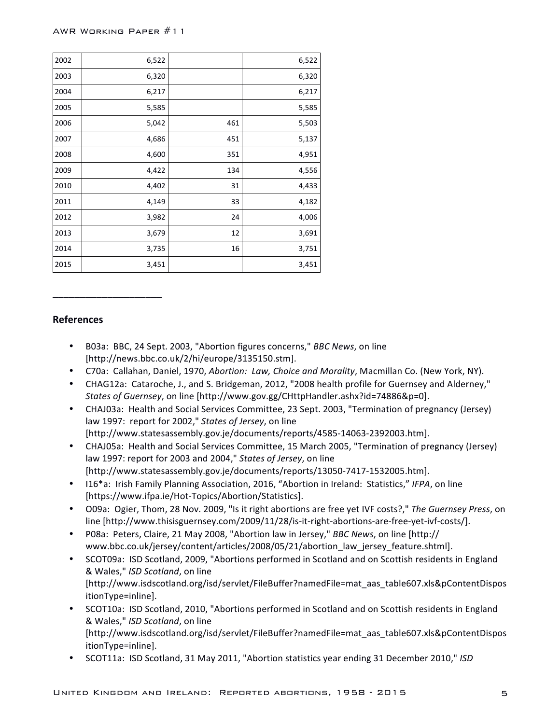| 2002 | 6,522 |     | 6,522 |
|------|-------|-----|-------|
| 2003 | 6,320 |     | 6,320 |
| 2004 | 6,217 |     | 6,217 |
| 2005 | 5,585 |     | 5,585 |
| 2006 | 5,042 | 461 | 5,503 |
| 2007 | 4,686 | 451 | 5,137 |
| 2008 | 4,600 | 351 | 4,951 |
| 2009 | 4,422 | 134 | 4,556 |
| 2010 | 4,402 | 31  | 4,433 |
| 2011 | 4,149 | 33  | 4,182 |
| 2012 | 3,982 | 24  | 4,006 |
| 2013 | 3,679 | 12  | 3,691 |
| 2014 | 3,735 | 16  | 3,751 |
| 2015 | 3,451 |     | 3,451 |

## **References**

\_\_\_\_\_\_\_\_\_\_\_\_\_\_\_\_\_\_\_\_

- B03a: BBC, 24 Sept. 2003, "Abortion figures concerns," *BBC News*, on line [http://news.bbc.co.uk/2/hi/europe/3135150.stm].
- C70a: Callahan, Daniel, 1970, Abortion: Law, Choice and Morality, Macmillan Co. (New York, NY).
- CHAG12a: Cataroche, J., and S. Bridgeman, 2012, "2008 health profile for Guernsey and Alderney," *States of Guernsey*, on line [http://www.gov.gg/CHttpHandler.ashx?id=74886&p=0].
- CHAJ03a: Health and Social Services Committee, 23 Sept. 2003, "Termination of pregnancy (Jersey) law 1997: report for 2002," States of Jersey, on line [http://www.statesassembly.gov.je/documents/reports/4585-14063-2392003.htm].
- CHAJ05a: Health and Social Services Committee, 15 March 2005, "Termination of pregnancy (Jersey) law 1997: report for 2003 and 2004," States of Jersey, on line [http://www.statesassembly.gov.je/documents/reports/13050-7417-1532005.htm].
- I16\*a: Irish Family Planning Association, 2016, "Abortion in Ireland: Statistics," IFPA, on line [https://www.ifpa.ie/Hot-Topics/Abortion/Statistics].
- O09a: Ogier, Thom, 28 Nov. 2009, "Is it right abortions are free yet IVF costs?," The Guernsey Press, on line [http://www.thisisguernsey.com/2009/11/28/is-it-right-abortions-are-free-yet-ivf-costs/].
- P08a: Peters, Claire, 21 May 2008, "Abortion law in Jersey," *BBC News*, on line [http:// www.bbc.co.uk/jersey/content/articles/2008/05/21/abortion\_law\_jersey\_feature.shtml].
- SCOT09a: ISD Scotland, 2009, "Abortions performed in Scotland and on Scottish residents in England & Wales," *ISD Scotland*, on line [http://www.isdscotland.org/isd/servlet/FileBuffer?namedFile=mat\_aas\_table607.xls&pContentDispos itionType=inline].
- SCOT10a: ISD Scotland, 2010, "Abortions performed in Scotland and on Scottish residents in England & Wales," *ISD Scotland*, on line [http://www.isdscotland.org/isd/servlet/FileBuffer?namedFile=mat\_aas\_table607.xls&pContentDispos itionType=inline].
- SCOT11a: ISD Scotland, 31 May 2011, "Abortion statistics year ending 31 December 2010," ISD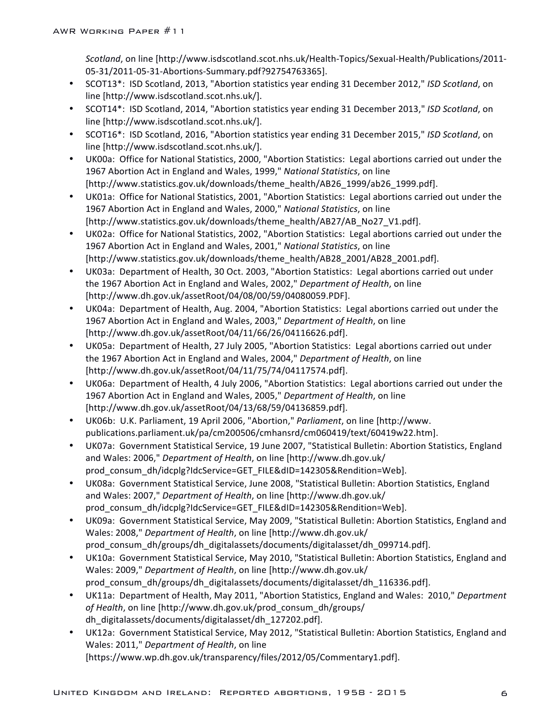*Scotland*, on line [http://www.isdscotland.scot.nhs.uk/Health-Topics/Sexual-Health/Publications/2011- 05-31/2011-05-31-Abortions-Summary.pdf?92754763365].

- SCOT13<sup>\*</sup>: ISD Scotland, 2013, "Abortion statistics year ending 31 December 2012," *ISD Scotland*, on line [http://www.isdscotland.scot.nhs.uk/].
- SCOT14\*: ISD Scotland, 2014, "Abortion statistics year ending 31 December 2013," *ISD Scotland*, on line [http://www.isdscotland.scot.nhs.uk/].
- SCOT16<sup>\*</sup>: ISD Scotland, 2016, "Abortion statistics year ending 31 December 2015," *ISD Scotland*, on line [http://www.isdscotland.scot.nhs.uk/].
- UK00a: Office for National Statistics, 2000, "Abortion Statistics: Legal abortions carried out under the 1967 Abortion Act in England and Wales, 1999," National Statistics, on line [http://www.statistics.gov.uk/downloads/theme\_health/AB26\_1999/ab26\_1999.pdf].
- UK01a: Office for National Statistics, 2001, "Abortion Statistics: Legal abortions carried out under the 1967 Abortion Act in England and Wales, 2000," National Statistics, on line [http://www.statistics.gov.uk/downloads/theme\_health/AB27/AB\_No27\_V1.pdf].
- UK02a: Office for National Statistics, 2002, "Abortion Statistics: Legal abortions carried out under the 1967 Abortion Act in England and Wales, 2001," National Statistics, on line [http://www.statistics.gov.uk/downloads/theme\_health/AB28\_2001/AB28\_2001.pdf].
- UK03a: Department of Health, 30 Oct. 2003, "Abortion Statistics: Legal abortions carried out under the 1967 Abortion Act in England and Wales, 2002," *Department of Health*, on line [http://www.dh.gov.uk/assetRoot/04/08/00/59/04080059.PDF].
- UK04a: Department of Health, Aug. 2004, "Abortion Statistics: Legal abortions carried out under the 1967 Abortion Act in England and Wales, 2003," Department of Health, on line [http://www.dh.gov.uk/assetRoot/04/11/66/26/04116626.pdf].
- UK05a: Department of Health, 27 July 2005, "Abortion Statistics: Legal abortions carried out under the 1967 Abortion Act in England and Wales, 2004," *Department of Health*, on line [http://www.dh.gov.uk/assetRoot/04/11/75/74/04117574.pdf].
- UK06a: Department of Health, 4 July 2006, "Abortion Statistics: Legal abortions carried out under the 1967 Abortion Act in England and Wales, 2005," Department of Health, on line [http://www.dh.gov.uk/assetRoot/04/13/68/59/04136859.pdf].
- UK06b: U.K. Parliament, 19 April 2006, "Abortion," *Parliament*, on line [http://www. publications.parliament.uk/pa/cm200506/cmhansrd/cm060419/text/60419w22.htm].
- UK07a: Government Statistical Service, 19 June 2007, "Statistical Bulletin: Abortion Statistics, England and Wales: 2006," *Department of Health*, on line [http://www.dh.gov.uk/ prod\_consum\_dh/idcplg?IdcService=GET\_FILE&dID=142305&Rendition=Web].
- UK08a: Government Statistical Service, June 2008, "Statistical Bulletin: Abortion Statistics, England and Wales: 2007," Department of Health, on line [http://www.dh.gov.uk/ prod\_consum\_dh/idcplg?IdcService=GET\_FILE&dID=142305&Rendition=Web].
- UK09a: Government Statistical Service, May 2009, "Statistical Bulletin: Abortion Statistics, England and Wales: 2008," *Department of Health*, on line [http://www.dh.gov.uk/ prod\_consum\_dh/groups/dh\_digitalassets/documents/digitalasset/dh\_099714.pdf].
- UK10a: Government Statistical Service, May 2010, "Statistical Bulletin: Abortion Statistics, England and Wales: 2009," Department of Health, on line [http://www.dh.gov.uk/ prod\_consum\_dh/groups/dh\_digitalassets/documents/digitalasset/dh\_116336.pdf].
- UK11a: Department of Health, May 2011, "Abortion Statistics, England and Wales: 2010," Department of Health, on line [http://www.dh.gov.uk/prod\_consum\_dh/groups/ dh\_digitalassets/documents/digitalasset/dh\_127202.pdf].
- UK12a: Government Statistical Service, May 2012, "Statistical Bulletin: Abortion Statistics, England and Wales: 2011," *Department of Health*, on line [https://www.wp.dh.gov.uk/transparency/files/2012/05/Commentary1.pdf].